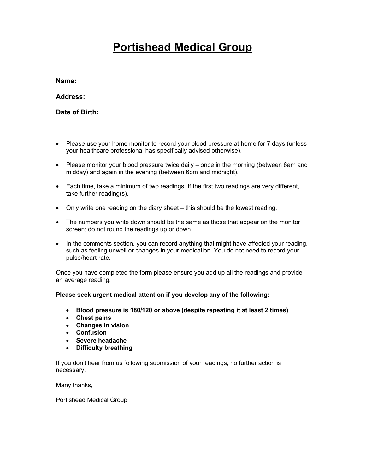# Portishead Medical Group

Name:

Address:

Date of Birth:

- Please use your home monitor to record your blood pressure at home for 7 days (unless your healthcare professional has specifically advised otherwise).
- Please monitor your blood pressure twice daily once in the morning (between 6am and midday) and again in the evening (between 6pm and midnight).
- Each time, take a minimum of two readings. If the first two readings are very different, take further reading(s).
- Only write one reading on the diary sheet this should be the lowest reading.
- The numbers you write down should be the same as those that appear on the monitor screen; do not round the readings up or down.
- In the comments section, you can record anything that might have affected your reading, such as feeling unwell or changes in your medication. You do not need to record your pulse/heart rate.

Once you have completed the form please ensure you add up all the readings and provide an average reading.

Please seek urgent medical attention if you develop any of the following:

- Blood pressure is 180/120 or above (despite repeating it at least 2 times)
- Chest pains
- Changes in vision
- Confusion
- Severe headache
- Difficulty breathing

If you don't hear from us following submission of your readings, no further action is necessary.

Many thanks,

Portishead Medical Group